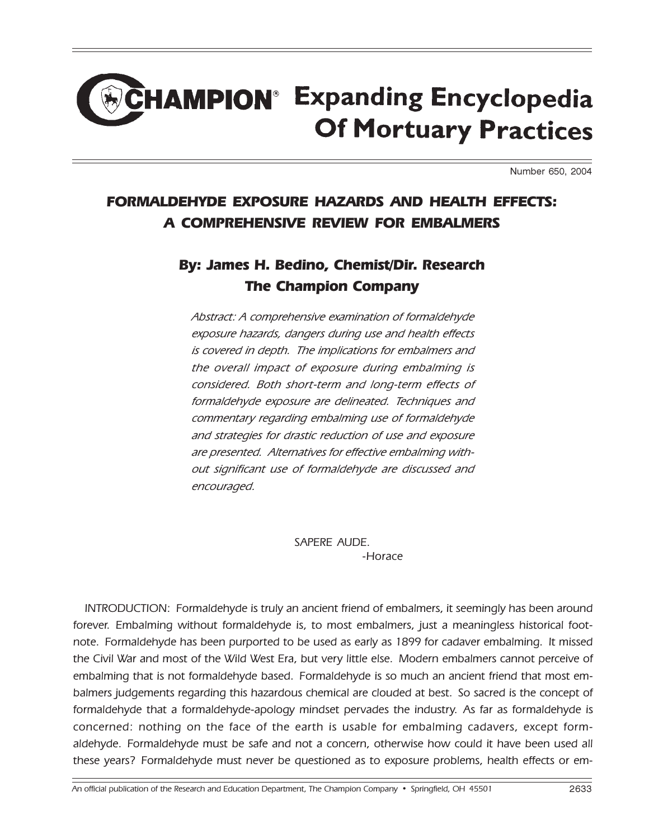## EHAMPION<sup>®</sup> Expanding Encyclopedia **Of Mortuary Practices**

Number 650, 2004

## FORMALDEHYDE EXPOSURE HAZARDS AND HEALTH EFFECTS: A COMPREHENSIVE REVIEW FOR EMBALMERS

## By: James H. Bedino, Chemist/Dir. Research The Champion Company

Abstract: A comprehensive examination of formaldehyde exposure hazards, dangers during use and health effects is covered in depth. The implications for embalmers and the overall impact of exposure during embalming is considered. Both short-term and long-term effects of formaldehyde exposure are delineated. Techniques and commentary regarding embalming use of formaldehyde and strategies for drastic reduction of use and exposure are presented. Alternatives for effective embalming without significant use of formaldehyde are discussed and encouraged.

> SAPERE AUDE. -Horace

INTRODUCTION: Formaldehyde is truly an ancient friend of embalmers, it seemingly has been around forever. Embalming without formaldehyde is, to most embalmers, just a meaningless historical footnote. Formaldehyde has been purported to be used as early as 1899 for cadaver embalming. It missed the Civil War and most of the Wild West Era, but very little else. Modern embalmers cannot perceive of embalming that is not formaldehyde based. Formaldehyde is so much an ancient friend that most embalmers judgements regarding this hazardous chemical are clouded at best. So sacred is the concept of formaldehyde that a formaldehyde-apology mindset pervades the industry. As far as formaldehyde is concerned: nothing on the face of the earth is usable for embalming cadavers, except formaldehyde. Formaldehyde must be safe and not a concern, otherwise how could it have been used all these years? Formaldehyde must never be questioned as to exposure problems, health effects or em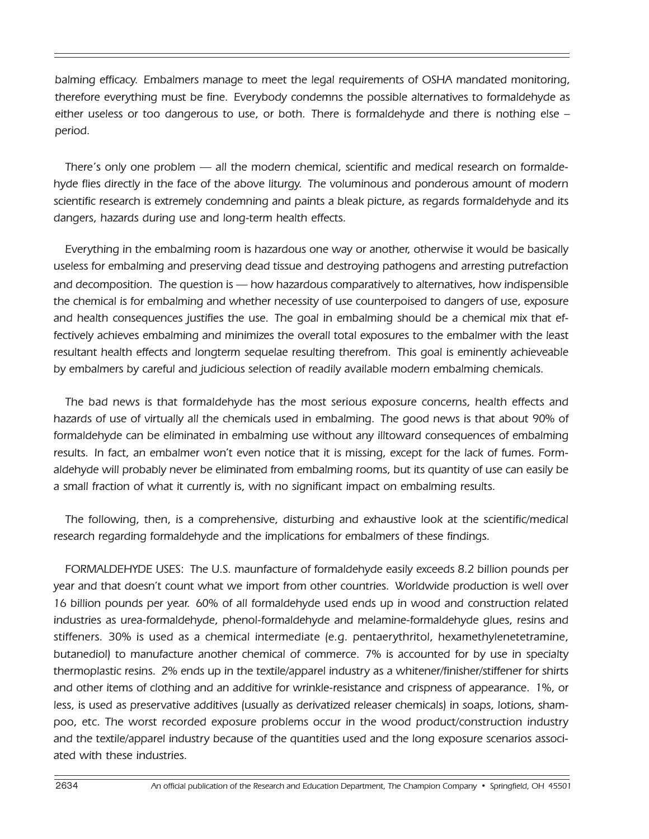balming efficacy. Embalmers manage to meet the legal requirements of OSHA mandated monitoring, therefore everything must be fine. Everybody condemns the possible alternatives to formaldehyde as either useless or too dangerous to use, or both. There is formaldehyde and there is nothing else – period.

There's only one problem — all the modern chemical, scientific and medical research on formaldehyde flies directly in the face of the above liturgy. The voluminous and ponderous amount of modern scientific research is extremely condemning and paints a bleak picture, as regards formaldehyde and its dangers, hazards during use and long-term health effects.

Everything in the embalming room is hazardous one way or another, otherwise it would be basically useless for embalming and preserving dead tissue and destroying pathogens and arresting putrefaction and decomposition. The question is — how hazardous comparatively to alternatives, how indispensible the chemical is for embalming and whether necessity of use counterpoised to dangers of use, exposure and health consequences justifies the use. The goal in embalming should be a chemical mix that effectively achieves embalming and minimizes the overall total exposures to the embalmer with the least resultant health effects and longterm sequelae resulting therefrom. This goal is eminently achieveable by embalmers by careful and judicious selection of readily available modern embalming chemicals.

The bad news is that formaldehyde has the most serious exposure concerns, health effects and hazards of use of virtually all the chemicals used in embalming. The good news is that about 90% of formaldehyde can be eliminated in embalming use without any illtoward consequences of embalming results. In fact, an embalmer won't even notice that it is missing, except for the lack of fumes. Formaldehyde will probably never be eliminated from embalming rooms, but its quantity of use can easily be a small fraction of what it currently is, with no significant impact on embalming results.

The following, then, is a comprehensive, disturbing and exhaustive look at the scientific/medical research regarding formaldehyde and the implications for embalmers of these findings.

FORMALDEHYDE USES: The U.S. maunfacture of formaldehyde easily exceeds 8.2 billion pounds per year and that doesn't count what we import from other countries. Worldwide production is well over 16 billion pounds per year. 60% of all formaldehyde used ends up in wood and construction related industries as urea-formaldehyde, phenol-formaldehyde and melamine-formaldehyde glues, resins and stiffeners. 30% is used as a chemical intermediate (e.g. pentaerythritol, hexamethylenetetramine, butanediol) to manufacture another chemical of commerce. 7% is accounted for by use in specialty thermoplastic resins. 2% ends up in the textile/apparel industry as a whitener/finisher/stiffener for shirts and other items of clothing and an additive for wrinkle-resistance and crispness of appearance. 1%, or less, is used as preservative additives (usually as derivatized releaser chemicals) in soaps, lotions, shampoo, etc. The worst recorded exposure problems occur in the wood product/construction industry and the textile/apparel industry because of the quantities used and the long exposure scenarios associated with these industries.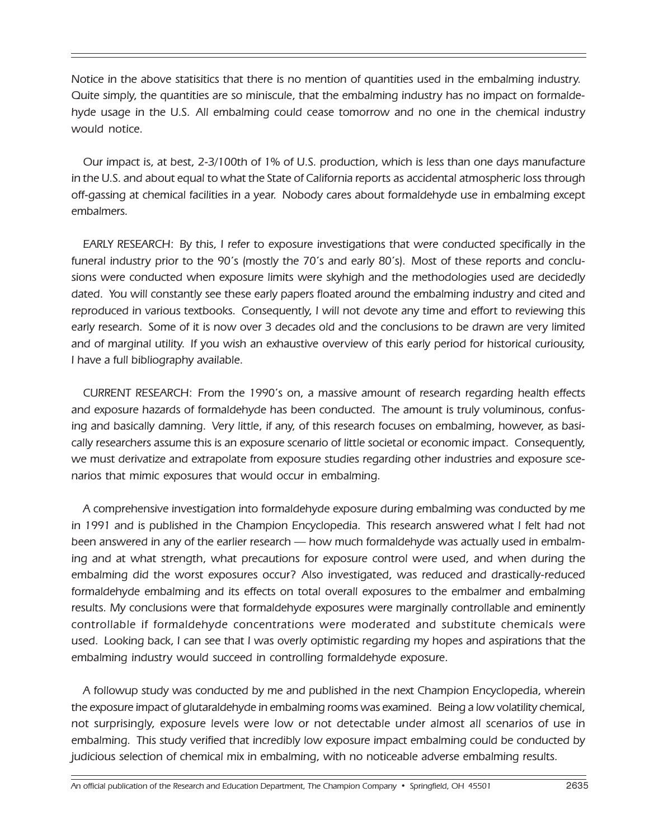Notice in the above statisitics that there is no mention of quantities used in the embalming industry. Quite simply, the quantities are so miniscule, that the embalming industry has no impact on formaldehyde usage in the U.S. All embalming could cease tomorrow and no one in the chemical industry would notice.

Our impact is, at best, 2-3/100th of 1% of U.S. production, which is less than one days manufacture in the U.S. and about equal to what the State of California reports as accidental atmospheric loss through off-gassing at chemical facilities in a year. Nobody cares about formaldehyde use in embalming except embalmers.

EARLY RESEARCH: By this, I refer to exposure investigations that were conducted specifically in the funeral industry prior to the 90's (mostly the 70's and early 80's). Most of these reports and conclusions were conducted when exposure limits were skyhigh and the methodologies used are decidedly dated. You will constantly see these early papers floated around the embalming industry and cited and reproduced in various textbooks. Consequently, I will not devote any time and effort to reviewing this early research. Some of it is now over 3 decades old and the conclusions to be drawn are very limited and of marginal utility. If you wish an exhaustive overview of this early period for historical curiousity, I have a full bibliography available.

CURRENT RESEARCH: From the 1990's on, a massive amount of research regarding health effects and exposure hazards of formaldehyde has been conducted. The amount is truly voluminous, confusing and basically damning. Very little, if any, of this research focuses on embalming, however, as basically researchers assume this is an exposure scenario of little societal or economic impact. Consequently, we must derivatize and extrapolate from exposure studies regarding other industries and exposure scenarios that mimic exposures that would occur in embalming.

A comprehensive investigation into formaldehyde exposure during embalming was conducted by me in 1991 and is published in the Champion Encyclopedia. This research answered what I felt had not been answered in any of the earlier research — how much formaldehyde was actually used in embalming and at what strength, what precautions for exposure control were used, and when during the embalming did the worst exposures occur? Also investigated, was reduced and drastically-reduced formaldehyde embalming and its effects on total overall exposures to the embalmer and embalming results. My conclusions were that formaldehyde exposures were marginally controllable and eminently controllable if formaldehyde concentrations were moderated and substitute chemicals were used. Looking back, I can see that I was overly optimistic regarding my hopes and aspirations that the embalming industry would succeed in controlling formaldehyde exposure.

A followup study was conducted by me and published in the next Champion Encyclopedia, wherein the exposure impact of glutaraldehyde in embalming rooms was examined. Being a low volatility chemical, not surprisingly, exposure levels were low or not detectable under almost all scenarios of use in embalming. This study verified that incredibly low exposure impact embalming could be conducted by judicious selection of chemical mix in embalming, with no noticeable adverse embalming results.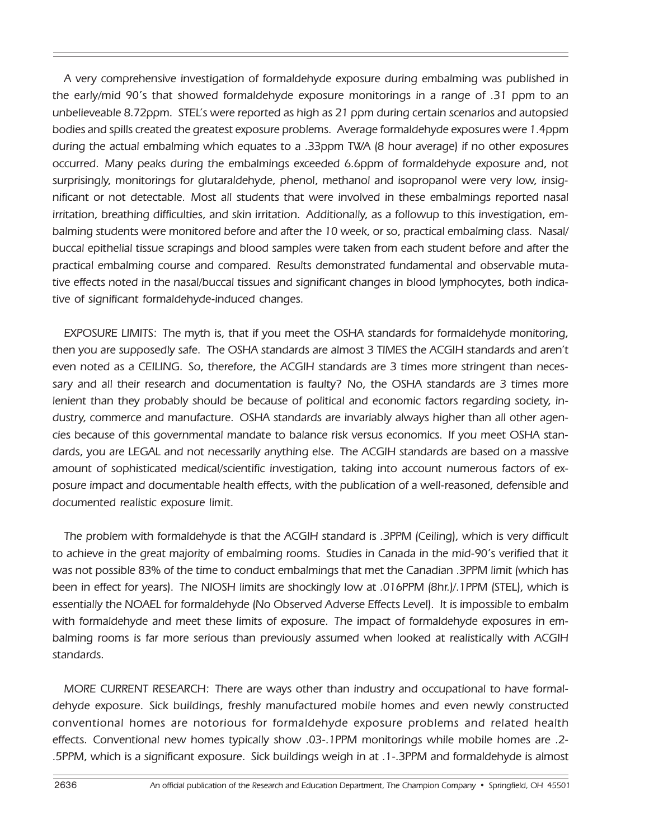A very comprehensive investigation of formaldehyde exposure during embalming was published in the early/mid 90's that showed formaldehyde exposure monitorings in a range of .31 ppm to an unbelieveable 8.72ppm. STEL's were reported as high as 21 ppm during certain scenarios and autopsied bodies and spills created the greatest exposure problems. Average formaldehyde exposures were 1.4ppm during the actual embalming which equates to a .33ppm TWA (8 hour average) if no other exposures occurred. Many peaks during the embalmings exceeded 6.6ppm of formaldehyde exposure and, not surprisingly, monitorings for glutaraldehyde, phenol, methanol and isopropanol were very low, insignificant or not detectable. Most all students that were involved in these embalmings reported nasal irritation, breathing difficulties, and skin irritation. Additionally, as a followup to this investigation, embalming students were monitored before and after the 10 week, or so, practical embalming class. Nasal/ buccal epithelial tissue scrapings and blood samples were taken from each student before and after the practical embalming course and compared. Results demonstrated fundamental and observable mutative effects noted in the nasal/buccal tissues and significant changes in blood lymphocytes, both indicative of significant formaldehyde-induced changes.

EXPOSURE LIMITS: The myth is, that if you meet the OSHA standards for formaldehyde monitoring, then you are supposedly safe. The OSHA standards are almost 3 TIMES the ACGIH standards and aren't even noted as a CEILING. So, therefore, the ACGIH standards are 3 times more stringent than necessary and all their research and documentation is faulty? No, the OSHA standards are 3 times more lenient than they probably should be because of political and economic factors regarding society, industry, commerce and manufacture. OSHA standards are invariably always higher than all other agencies because of this governmental mandate to balance risk versus economics. If you meet OSHA standards, you are LEGAL and not necessarily anything else. The ACGIH standards are based on a massive amount of sophisticated medical/scientific investigation, taking into account numerous factors of exposure impact and documentable health effects, with the publication of a well-reasoned, defensible and documented realistic exposure limit.

The problem with formaldehyde is that the ACGIH standard is .3PPM (Ceiling), which is very difficult to achieve in the great majority of embalming rooms. Studies in Canada in the mid-90's verified that it was not possible 83% of the time to conduct embalmings that met the Canadian .3PPM limit (which has been in effect for years). The NIOSH limits are shockingly low at .016PPM (8hr.)/.1PPM (STEL), which is essentially the NOAEL for formaldehyde (No Observed Adverse Effects Level). It is impossible to embalm with formaldehyde and meet these limits of exposure. The impact of formaldehyde exposures in embalming rooms is far more serious than previously assumed when looked at realistically with ACGIH standards.

MORE CURRENT RESEARCH: There are ways other than industry and occupational to have formaldehyde exposure. Sick buildings, freshly manufactured mobile homes and even newly constructed conventional homes are notorious for formaldehyde exposure problems and related health effects. Conventional new homes typically show .03-.1PPM monitorings while mobile homes are .2- .5PPM, which is a significant exposure. Sick buildings weigh in at .1-.3PPM and formaldehyde is almost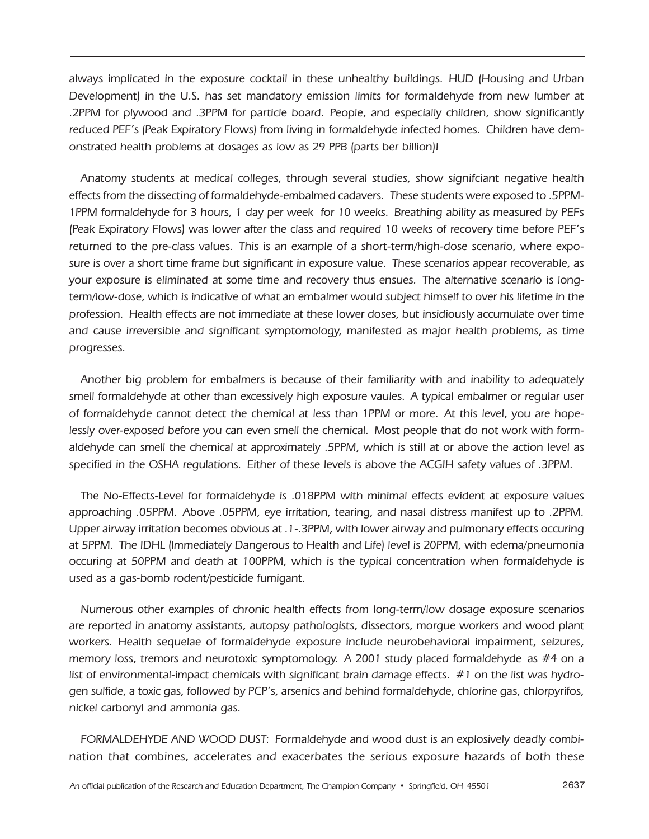always implicated in the exposure cocktail in these unhealthy buildings. HUD (Housing and Urban Development) in the U.S. has set mandatory emission limits for formaldehyde from new lumber at .2PPM for plywood and .3PPM for particle board. People, and especially children, show significantly reduced PEF's (Peak Expiratory Flows) from living in formaldehyde infected homes. Children have demonstrated health problems at dosages as low as 29 PPB (parts ber billion)!

Anatomy students at medical colleges, through several studies, show signifciant negative health effects from the dissecting of formaldehyde-embalmed cadavers. These students were exposed to .5PPM-1PPM formaldehyde for 3 hours, 1 day per week for 10 weeks. Breathing ability as measured by PEFs (Peak Expiratory Flows) was lower after the class and required 10 weeks of recovery time before PEF's returned to the pre-class values. This is an example of a short-term/high-dose scenario, where exposure is over a short time frame but significant in exposure value. These scenarios appear recoverable, as your exposure is eliminated at some time and recovery thus ensues. The alternative scenario is longterm/low-dose, which is indicative of what an embalmer would subject himself to over his lifetime in the profession. Health effects are not immediate at these lower doses, but insidiously accumulate over time and cause irreversible and significant symptomology, manifested as major health problems, as time progresses.

Another big problem for embalmers is because of their familiarity with and inability to adequately smell formaldehyde at other than excessively high exposure vaules. A typical embalmer or regular user of formaldehyde cannot detect the chemical at less than 1PPM or more. At this level, you are hopelessly over-exposed before you can even smell the chemical. Most people that do not work with formaldehyde can smell the chemical at approximately .5PPM, which is still at or above the action level as specified in the OSHA regulations. Either of these levels is above the ACGIH safety values of .3PPM.

The No-Effects-Level for formaldehyde is .018PPM with minimal effects evident at exposure values approaching .05PPM. Above .05PPM, eye irritation, tearing, and nasal distress manifest up to .2PPM. Upper airway irritation becomes obvious at .1-.3PPM, with lower airway and pulmonary effects occuring at 5PPM. The IDHL (lmmediately Dangerous to Health and Life) level is 20PPM, with edema/pneumonia occuring at 50PPM and death at 100PPM, which is the typical concentration when formaldehyde is used as a gas-bomb rodent/pesticide fumigant.

Numerous other examples of chronic health effects from long-term/low dosage exposure scenarios are reported in anatomy assistants, autopsy pathologists, dissectors, morgue workers and wood plant workers. Health sequelae of formaldehyde exposure include neurobehavioral impairment, seizures, memory loss, tremors and neurotoxic symptomology. A 2001 study placed formaldehyde as #4 on a list of environmental-impact chemicals with significant brain damage effects. #1 on the list was hydrogen sulfide, a toxic gas, followed by PCP's, arsenics and behind formaldehyde, chlorine gas, chlorpyrifos, nickel carbonyl and ammonia gas.

FORMALDEHYDE AND WOOD DUST: Formaldehyde and wood dust is an explosively deadly combination that combines, accelerates and exacerbates the serious exposure hazards of both these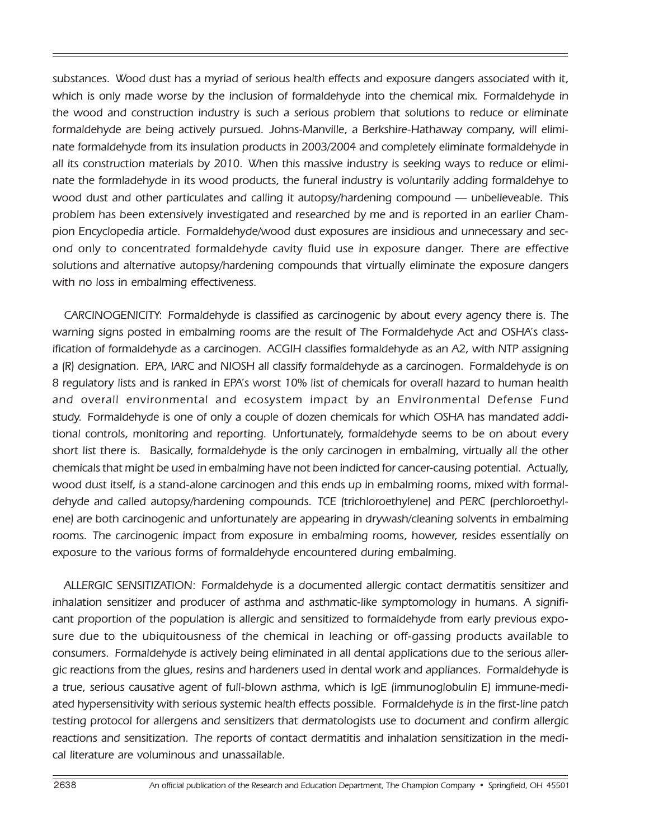substances. Wood dust has a myriad of serious health effects and exposure dangers associated with it, which is only made worse by the inclusion of formaldehyde into the chemical mix. Formaldehyde in the wood and construction industry is such a serious problem that solutions to reduce or eliminate formaldehyde are being actively pursued. Johns-Manville, a Berkshire-Hathaway company, will eliminate formaldehyde from its insulation products in 2003/2004 and completely eliminate formaldehyde in all its construction materials by 2010. When this massive industry is seeking ways to reduce or eliminate the formladehyde in its wood products, the funeral industry is voluntarily adding formaldehye to wood dust and other particulates and calling it autopsy/hardening compound — unbelieveable. This problem has been extensively investigated and researched by me and is reported in an earlier Champion Encyclopedia article. Formaldehyde/wood dust exposures are insidious and unnecessary and second only to concentrated formaldehyde cavity fluid use in exposure danger. There are effective solutions and alternative autopsy/hardening compounds that virtually eliminate the exposure dangers with no loss in embalming effectiveness.

CARCINOGENICITY: Formaldehyde is classified as carcinogenic by about every agency there is. The warning signs posted in embalming rooms are the result of The Formaldehyde Act and OSHA's classification of formaldehyde as a carcinogen. ACGIH classifies formaldehyde as an A2, with NTP assigning a (R) designation. EPA, IARC and NIOSH all classify formaldehyde as a carcinogen. Formaldehyde is on 8 regulatory lists and is ranked in EPA's worst 10% list of chemicals for overall hazard to human health and overall environmental and ecosystem impact by an Environmental Defense Fund study. Formaldehyde is one of only a couple of dozen chemicals for which OSHA has mandated additional controls, monitoring and reporting. Unfortunately, formaldehyde seems to be on about every short list there is. Basically, formaldehyde is the only carcinogen in embalming, virtually all the other chemicals that might be used in embalming have not been indicted for cancer-causing potential. Actually, wood dust itself, is a stand-alone carcinogen and this ends up in embalming rooms, mixed with formaldehyde and called autopsy/hardening compounds. TCE (trichloroethylene) and PERC (perchloroethylene) are both carcinogenic and unfortunately are appearing in drywash/cleaning solvents in embalming rooms. The carcinogenic impact from exposure in embalming rooms, however, resides essentially on exposure to the various forms of formaldehyde encountered during embalming.

ALLERGIC SENSITIZATION: Formaldehyde is a documented allergic contact dermatitis sensitizer and inhalation sensitizer and producer of asthma and asthmatic-like symptomology in humans. A significant proportion of the population is allergic and sensitized to formaldehyde from early previous exposure due to the ubiquitousness of the chemical in leaching or off-gassing products available to consumers. Formaldehyde is actively being eliminated in all dental applications due to the serious allergic reactions from the glues, resins and hardeners used in dental work and appliances. Formaldehyde is a true, serious causative agent of full-blown asthma, which is IgE (immunoglobulin E) immune-mediated hypersensitivity with serious systemic health effects possible. Formaldehyde is in the first-line patch testing protocol for allergens and sensitizers that dermatologists use to document and confirm allergic reactions and sensitization. The reports of contact dermatitis and inhalation sensitization in the medical literature are voluminous and unassailable.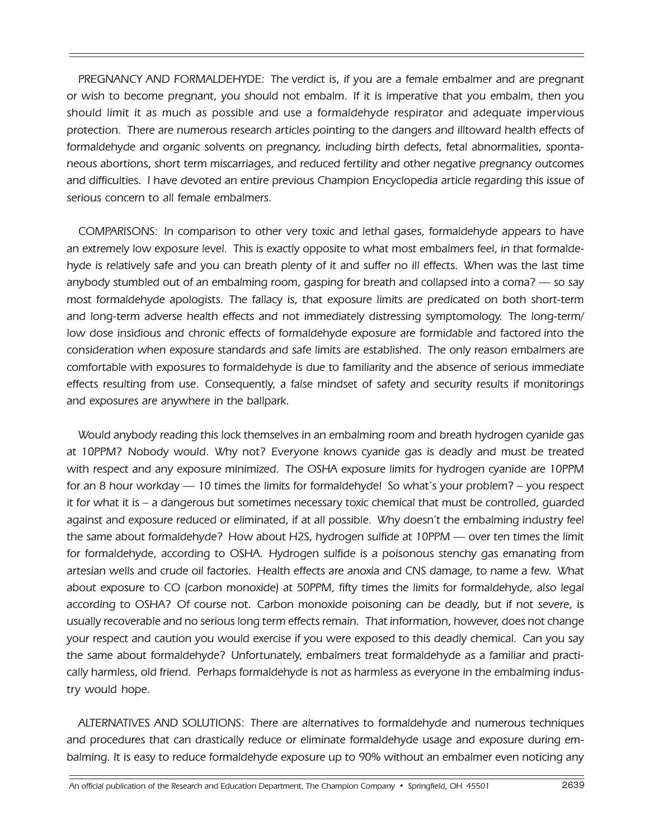PREGNANCY AND FORMALDEHYDE: The verdict is, if you are a female embalmer and are pregnant or wish to become pregnant, you should not embalm. If it is imperative that you embalm, then you should limit it as much as possible and use a formaldehyde respirator and adequate impervious protection. There are numerous research articles pointing to the dangers and illtoward health effects of formaldehyde and organic solvents on pregnancy, including birth defects, fetal abnormalities, spontaneous abortions, short term miscarriages, and reduced fertility and other negative pregnancy outcomes and difficulties. I have devoted an entire previous Champion Encyclopedia article regarding this issue of serious concern to all female embalmers.

COMPARISONS: In comparison to other very toxic and lethal gases, formaldehyde appears to have an extremely low exposure level. This is exactly opposite to what most embalmers feel, in that formaldehyde is relatively safe and you can breath plenty of it and suffer no ill effects. When was the last time anybody stumbled out of an embalming room, gasping for breath and collapsed into a coma? — so say most formaldehyde apologists. The fallacy is, that exposure limits are predicated on both short-term and long-term adverse health effects and not immediately distressing symptomology. The long-term/ low dose insidious and chronic effects of formaldehyde exposure are formidable and factored into the consideration when exposure standards and safe limits are established. The only reason embalmers are comfortable with exposures to formaldehyde is due to familiarity and the absence of serious immediate effects resulting from use. Consequently, a false mindset of safety and security results if monitorings and exposures are anywhere in the ballpark.

Would anybody reading this lock themselves in an embalming room and breath hydrogen cyanide gas at 10PPM? Nobody would. Why not? Everyone knows cyanide gas is deadly and must be treated with respect and any exposure minimized. The OSHA exposure limits for hydrogen cyanide are 10PPM for an 8 hour workday — 10 times the limits for formaldehyde! So what's your problem? – you respect it for what it is – a dangerous but sometimes necessary toxic chemical that must be controlled, guarded against and exposure reduced or eliminated, if at all possible. Why doesn't the embalming industry feel the same about formaldehyde? How about H2S, hydrogen sulfide at 10PPM — over ten times the limit for formaldehyde, according to OSHA. Hydrogen sulfide is a poisonous stenchy gas emanating from artesian wells and crude oil factories. Health effects are anoxia and CNS damage, to name a few. What about exposure to CO (carbon monoxide) at 50PPM, fifty times the limits for formaldehyde, also legal according to OSHA? Of course not. Carbon monoxide poisoning can be deadly, but if not severe, is usually recoverable and no serious long term effects remain. That information, however, does not change your respect and caution you would exercise if you were exposed to this deadly chemical. Can you say the same about formaldehyde? Unfortunately, embalmers treat formaldehyde as a familiar and practically harmless, old friend. Perhaps formaldehyde is not as harmless as everyone in the embalming industry would hope.

ALTERNATIVES AND SOLUTIONS: There are alternatives to formaldehyde and numerous techniques and procedures that can drastically reduce or eliminate formaldehyde usage and exposure during embalming. It is easy to reduce formaldehyde exposure up to 90% without an embalmer even noticing any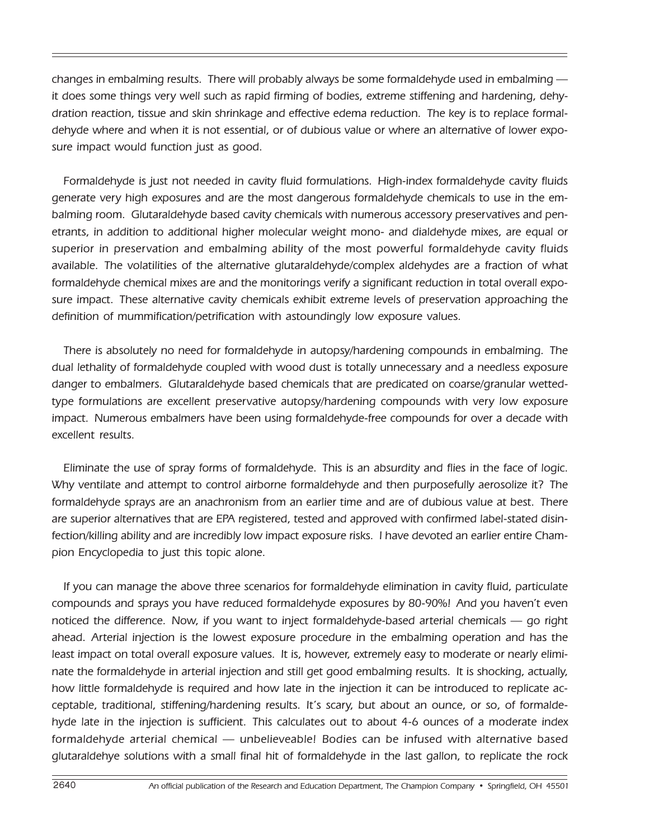changes in embalming results. There will probably always be some formaldehyde used in embalming it does some things very well such as rapid firming of bodies, extreme stiffening and hardening, dehydration reaction, tissue and skin shrinkage and effective edema reduction. The key is to replace formaldehyde where and when it is not essential, or of dubious value or where an alternative of lower exposure impact would function just as good.

Formaldehyde is just not needed in cavity fluid formulations. High-index formaldehyde cavity fluids generate very high exposures and are the most dangerous formaldehyde chemicals to use in the embalming room. Glutaraldehyde based cavity chemicals with numerous accessory preservatives and penetrants, in addition to additional higher molecular weight mono- and dialdehyde mixes, are equal or superior in preservation and embalming ability of the most powerful formaldehyde cavity fluids available. The volatilities of the alternative glutaraldehyde/complex aldehydes are a fraction of what formaldehyde chemical mixes are and the monitorings verify a significant reduction in total overall exposure impact. These alternative cavity chemicals exhibit extreme levels of preservation approaching the definition of mummification/petrification with astoundingly low exposure values.

There is absolutely no need for formaldehyde in autopsy/hardening compounds in embalming. The dual lethality of formaldehyde coupled with wood dust is totally unnecessary and a needless exposure danger to embalmers. Glutaraldehyde based chemicals that are predicated on coarse/granular wettedtype formulations are excellent preservative autopsy/hardening compounds with very low exposure impact. Numerous embalmers have been using formaldehyde-free compounds for over a decade with excellent results.

Eliminate the use of spray forms of formaldehyde. This is an absurdity and flies in the face of logic. Why ventilate and attempt to control airborne formaldehyde and then purposefully aerosolize it? The formaldehyde sprays are an anachronism from an earlier time and are of dubious value at best. There are superior alternatives that are EPA registered, tested and approved with confirmed label-stated disinfection/killing ability and are incredibly low impact exposure risks. I have devoted an earlier entire Champion Encyclopedia to just this topic alone.

If you can manage the above three scenarios for formaldehyde elimination in cavity fluid, particulate compounds and sprays you have reduced formaldehyde exposures by 80-90%! And you haven't even noticed the difference. Now, if you want to inject formaldehyde-based arterial chemicals — go right ahead. Arterial injection is the lowest exposure procedure in the embalming operation and has the least impact on total overall exposure values. It is, however, extremely easy to moderate or nearly eliminate the formaldehyde in arterial injection and still get good embalming results. It is shocking, actually, how little formaldehyde is required and how late in the injection it can be introduced to replicate acceptable, traditional, stiffening/hardening results. It's scary, but about an ounce, or so, of formaldehyde late in the injection is sufficient. This calculates out to about 4-6 ounces of a moderate index formaldehyde arterial chemical — unbelieveable! Bodies can be infused with alternative based glutaraldehye solutions with a small final hit of formaldehyde in the last gallon, to replicate the rock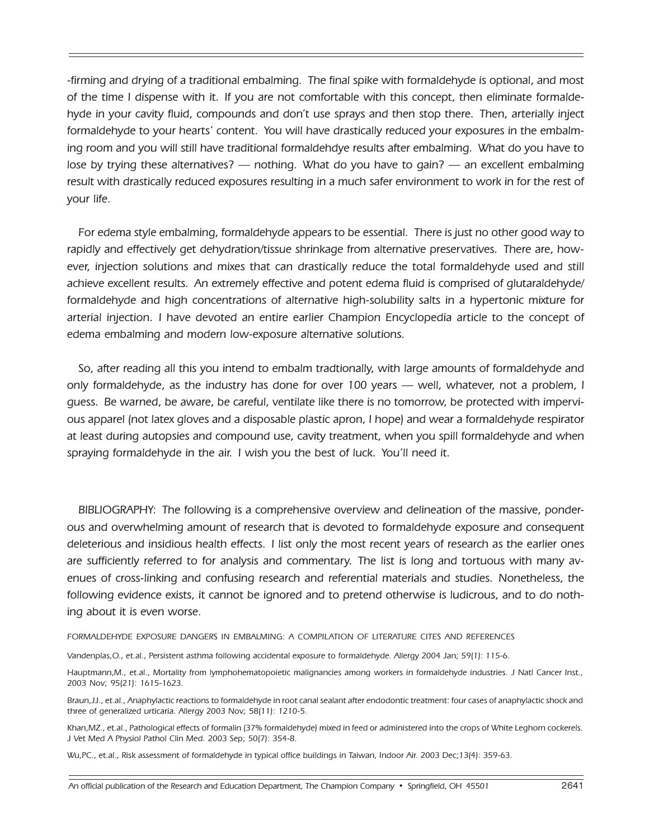-firming and drying of a traditional embalming. The final spike with formaldehyde is optional, and most of the time I dispense with it. If you are not comfortable with this concept, then eliminate formaldehyde in your cavity fluid, compounds and don't use sprays and then stop there. Then, arterially inject formaldehyde to your hearts' content. You will have drastically reduced your exposures in the embalming room and you will still have traditional formaldehdye results after embalming. What do you have to lose by trying these alternatives? — nothing. What do you have to gain? — an excellent embalming result with drastically reduced exposures resulting in a much safer environment to work in for the rest of your life.

For edema style embalming, formaldehyde appears to be essential. There is just no other good way to rapidly and effectively get dehydration/tissue shrinkage from alternative preservatives. There are, however, injection solutions and mixes that can drastically reduce the total formaldehyde used and still achieve excellent results. An extremely effective and potent edema fluid is comprised of glutaraldehyde/ formaldehyde and high concentrations of alternative high-solubility salts in a hypertonic mixture for arterial injection. I have devoted an entire earlier Champion Encyclopedia article to the concept of edema embalming and modern low-exposure alternative solutions.

So, after reading all this you intend to embalm tradtionally, with large amounts of formaldehyde and only formaldehyde, as the industry has done for over 100 years — well, whatever, not a problem, I guess. Be warned, be aware, be careful, ventilate like there is no tomorrow, be protected with impervious apparel (not latex gloves and a disposable plastic apron, I hope) and wear a formaldehyde respirator at least during autopsies and compound use, cavity treatment, when you spill formaldehyde and when spraying formaldehyde in the air. I wish you the best of luck. You'll need it.

BIBLIOGRAPHY: The following is a comprehensive overview and delineation of the massive, ponderous and overwhelming amount of research that is devoted to formaldehyde exposure and consequent deleterious and insidious health effects. I list only the most recent years of research as the earlier ones are sufficiently referred to for analysis and commentary. The list is long and tortuous with many avenues of cross-linking and confusing research and referential materials and studies. Nonetheless, the following evidence exists, it cannot be ignored and to pretend otherwise is ludicrous, and to do nothing about it is even worse.

FORMALDEHYDE EXPOSURE DANGERS IN EMBALMING: A COMPILATION OF LITERATURE CITES AND REFERENCES

Vandenplas,O., et.al., Persistent asthma following accidental exposure to formaldehyde. Allergy 2004 Jan; 59(1): 115-6.

Hauptmann,M., et.al., Mortality from lymphohematopoietic malignancies among workers in formaldehyde industries. J Natl Cancer Inst., 2003 Nov; 95(21): 1615-1623.

Braun,JJ., et.al., Anaphylactic reactions to formaldehyde in root canal sealant after endodontic treatment: four cases of anaphylactic shock and three of generalized urticaria. Allergy 2003 Nov; 58(11): 1210-5.

Khan,MZ., et.al., Pathological effects of formalin (37% formaldehyde) mixed in feed or administered into the crops of White Leghorn cockerels. J Vet Med A Physiol Pathol Clin Med. 2003 Sep; 50(7): 354-8.

Wu,PC., et.al., Risk assessment of formaldehyde in typical office buildings in Taiwan, Indoor Air. 2003 Dec;13(4): 359-63.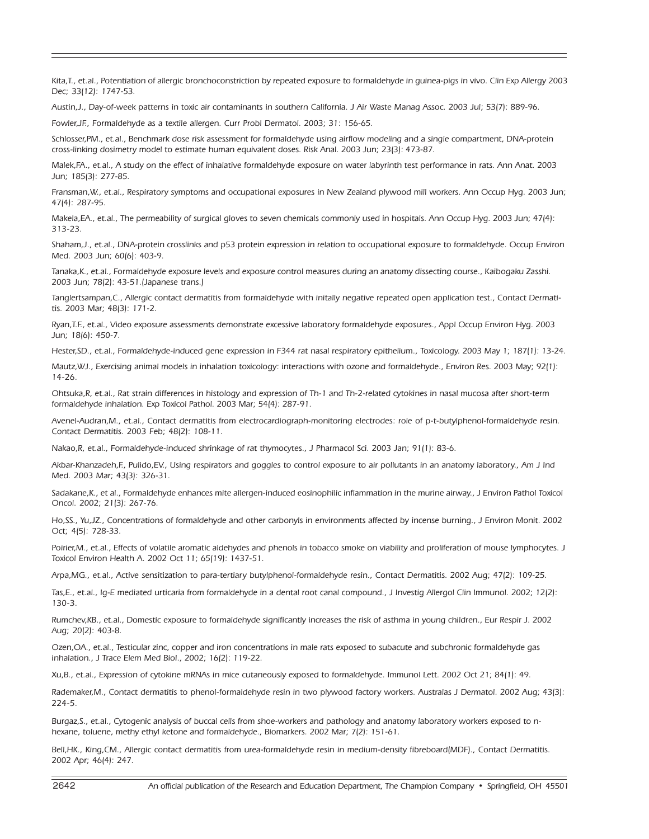Kita,T., et.al., Potentiation of allergic bronchoconstriction by repeated exposure to formaldehyde in guinea-pigs in vivo. Clin Exp Allergy 2003 Dec; 33(12): 1747-53.

Austin,J., Day-of-week patterns in toxic air contaminants in southern California. J Air Waste Manag Assoc. 2003 Jul; 53(7): 889-96.

Fowler,JF., Formaldehyde as a textile allergen. Curr Probl Dermatol. 2003; 31: 156-65.

Schlosser,PM., et.al., Benchmark dose risk assessment for formaldehyde using airflow modeling and a single compartment, DNA-protein cross-linking dosimetry model to estimate human equivalent doses. Risk Anal. 2003 Jun; 23(3): 473-87.

Malek,FA., et.al., A study on the effect of inhalative formaldehyde exposure on water labyrinth test performance in rats. Ann Anat. 2003 Jun; 185(3): 277-85.

Fransman,W., et.al., Respiratory symptoms and occupational exposures in New Zealand plywood mill workers. Ann Occup Hyg. 2003 Jun; 47(4): 287-95.

Makela,EA., et.al., The permeability of surgical gloves to seven chemicals commonly used in hospitals. Ann Occup Hyg. 2003 Jun; 47(4): 313-23.

Shaham,J., et.al., DNA-protein crosslinks and p53 protein expression in relation to occupational exposure to formaldehyde. Occup Environ Med. 2003 Jun; 60(6): 403-9.

Tanaka,K., et.al., Formaldehyde exposure levels and exposure control measures during an anatomy dissecting course., Kaibogaku Zasshi. 2003 Jun; 78(2): 43-51.(Japanese trans.)

Tanglertsampan,C., Allergic contact dermatitis from formaldehyde with initally negative repeated open application test., Contact Dermatitis. 2003 Mar; 48(3): 171-2.

Ryan,T.F., et.al., Video exposure assessments demonstrate excessive laboratory formaldehyde exposures., Appl Occup Environ Hyg. 2003 Jun; 18(6): 450-7.

Hester,SD., et.al., Formaldehyde-induced gene expression in F344 rat nasal respiratory epithelium., Toxicology. 2003 May 1; 187(1): 13-24.

Mautz,WJ., Exercising animal models in inhalation toxicology: interactions with ozone and formaldehyde., Environ Res. 2003 May; 92(1): 14-26.

Ohtsuka,R, et.al., Rat strain differences in histology and expression of Th-1 and Th-2-related cytokines in nasal mucosa after short-term formaldehyde inhalation. Exp Toxicol Pathol. 2003 Mar; 54(4): 287-91.

Avenel-Audran,M., et.al., Contact dermatitis from electrocardiograph-monitoring electrodes: role of p-t-butylphenol-formaldehyde resin. Contact Dermatitis. 2003 Feb; 48(2): 108-11.

Nakao,R, et.al., Formaldehyde-induced shrinkage of rat thymocytes., J Pharmacol Sci. 2003 Jan; 91(1): 83-6.

Akbar-Khanzadeh,F., Pulido,EV., Using respirators and goggles to control exposure to air pollutants in an anatomy laboratory., Am J Ind Med. 2003 Mar; 43(3): 326-31.

Sadakane,K., et al., Formaldehyde enhances mite allergen-induced eosinophilic inflammation in the murine airway., J Environ Pathol Toxicol Oncol. 2002; 21(3): 267-76.

Ho,SS., Yu,JZ., Concentrations of formaldehyde and other carbonyls in environments affected by incense burning., J Environ Monit. 2002 Oct; 4(5): 728-33.

Poirier,M., et.al., Effects of volatile aromatic aldehydes and phenols in tobacco smoke on viability and proliferation of mouse lymphocytes. J Toxicol Environ Health A. 2002 Oct 11; 65(19): 1437-51.

Arpa,MG., et.al., Active sensitization to para-tertiary butylphenol-formaldehyde resin., Contact Dermatitis. 2002 Aug; 47(2): 109-25.

Tas,E., et.al., Ig-E mediated urticaria from formaldehyde in a dental root canal compound., J Investig Allergol Clin Immunol. 2002; 12(2): 130-3.

Rumchev,KB., et.al., Domestic exposure to formaldehyde significantly increases the risk of asthma in young children., Eur Respir J. 2002 Aug; 20(2): 403-8.

Ozen,OA., et.al., Testicular zinc, copper and iron concentrations in male rats exposed to subacute and subchronic formaldehyde gas inhalation., J Trace Elem Med BioI., 2002; 16(2): 119-22.

Xu,B., et.al., Expression of cytokine mRNAs in mice cutaneously exposed to formaldehyde. Immunol Lett. 2002 Oct 21; 84(1): 49.

Rademaker,M., Contact dermatitis to phenol-formaldehyde resin in two plywood factory workers. Australas J Dermatol. 2002 Aug; 43(3): 224-5.

Burgaz,S., et.al., Cytogenic analysis of buccal cells from shoe-workers and pathology and anatomy laboratory workers exposed to nhexane, toluene, methy ethyl ketone and formaldehyde., Biomarkers. 2002 Mar; 7(2): 151-61.

Bell,HK., King,CM., Allergic contact dermatitis from urea-formaldehyde resin in medium-density fibreboard(MDF)., Contact Dermatitis. 2002 Apr; 46(4): 247.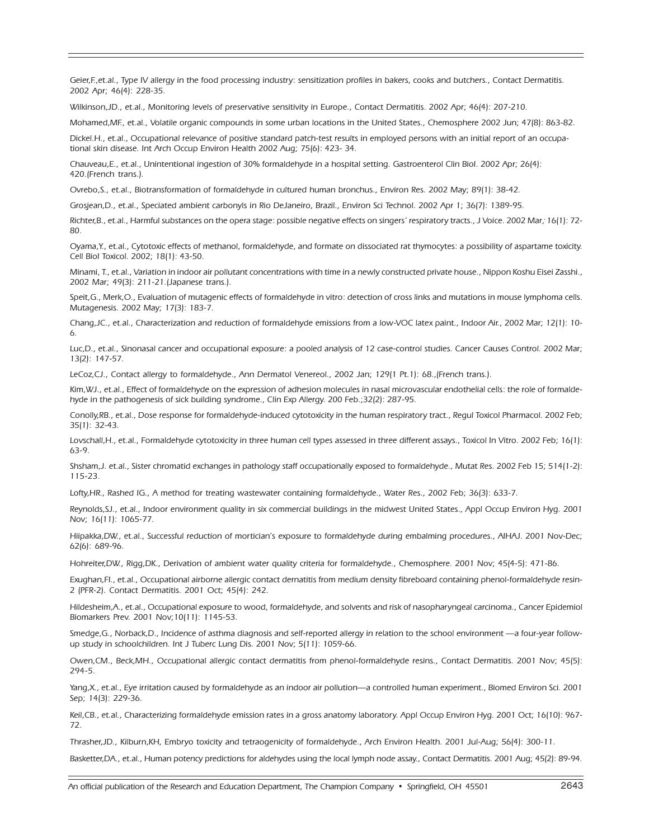Geier,F.,et.al., Type IV allergy in the food processing industry: sensitization profiles in bakers, cooks and butchers., Contact Dermatitis. 2002 Apr; 46(4): 228-35.

Wilkinson,JD., et.al., Monitoring levels of preservative sensitivity in Europe., Contact Dermatitis. 2002 Apr; 46(4): 207-210.

Mohamed,MF., et.al., Volatile organic compounds in some urban locations in the United States., Chemosphere 2002 Jun; 47(8): 863-82.

Dickel.H., et.al., Occupational relevance of positive standard patch-test results in employed persons with an initial report of an occupational skin disease. Int Arch Occup Environ Health 2002 Aug; 75(6): 423- 34.

Chauveau,E., et.al., Unintentional ingestion of 30% formaldehyde in a hospital setting. Gastroenterol Clin BioI. 2002 Apr; 26(4): 420.(French trans.).

Ovrebo,S., et.al., Biotransformation of formaldehyde in cultured human bronchus., Environ Res. 2002 May; 89(1): 38-42.

Grosjean,D., et.al., Speciated ambient carbonyls in Rio DeJaneiro, Brazil., Environ Sci Technol. 2002 Apr 1; 36(7): 1389-95.

Richter,B., et.al., Harmful substances on the opera stage: possible negative effects on singers' respiratory tracts., J Voice. 2002 Mar; 16(1): 72- 80.

Oyama,Y., et.al., Cytotoxic effects of methanol, formaldehyde, and formate on dissociated rat thymocytes: a possibility of aspartame toxicity. Cell BioI Toxicol. 2002; 18(1): 43-50.

Minami, T., et.al., Variation in indoor air pollutant concentrations with time in a newly constructed private house., Nippon Koshu Eisei Zasshi., 2002 Mar; 49(3): 211-21.(Japanese trans.).

Speit,G., Merk,O., Evaluation of mutagenic effects of formaldehyde in vitro: detection of cross links and mutations in mouse lymphoma cells. Mutagenesis. 2002 May; 17(3): 183-7.

Chang,JC., et.al., Characterization and reduction of formaldehyde emissions from a low-VOC latex paint., Indoor Air., 2002 Mar; 12(1): 10- 6.

Luc,D., et.al., Sinonasal cancer and occupational exposure: a pooled analysis of 12 case-control studies. Cancer Causes Control. 2002 Mar; 13(2): 147-57.

LeCoz,CJ., Contact allergy to formaldehyde., Ann Dermatol Venereol., 2002 Jan; 129(1 Pt.1): 68.,(French trans.).

Kim,WJ., et.al., Effect of formaldehyde on the expression of adhesion molecules in nasal microvascular endothelial cells: the role of formaldehyde in the pathogenesis of sick building syndrome., Clin Exp Allergy. 200 Feb.;32(2): 287-95.

Conolly,RB., et.al., Dose response for formaldehyde-induced cytotoxicity in the human respiratory tract., Regul Toxicol Pharmacol. 2002 Feb; 35(1): 32-43.

Lovschall,H., et.al., Formaldehyde cytotoxicity in three human cell types assessed in three different assays., Toxicol In Vitro. 2002 Feb; 16(1): 63-9.

Shsham,J. et.al., Sister chromatid exchanges in pathology staff occupationally exposed to formaldehyde., Mutat Res. 2002 Feb 15; 514(1-2): 115-23.

Lofty,HR., Rashed IG., A method for treating wastewater containing formaldehyde., Water Res., 2002 Feb; 36(3): 633-7.

Reynolds,SJ., et.al., Indoor environment quality in six commercial buildings in the midwest United States., Appl Occup Environ Hyg. 2001 Nov; 16(11): 1065-77.

Hiipakka,DW., et.al., Successful reduction of mortician's exposure to formaldehyde during embalming procedures., AIHAJ. 2001 Nov-Dec; 62(6): 689-96.

Hohreiter,DW., Rigg,DK., Derivation of ambient water quality criteria for formaldehyde., Chemosphere. 2001 Nov; 45(4-5): 471-86.

Exughan,FI., et.al., Occupational airborne allergic contact dernatitis from medium density fibreboard containing phenol-formaldehyde resin-2 (PFR-2). Contact Dermatitis. 2001 Oct; 45(4): 242.

Hildesheim,A., et.al., Occupational exposure to wood, formaldehyde, and solvents and risk of nasopharyngeal carcinoma., Cancer Epidemiol Biomarkers Prev. 2001 Nov;10(11): 1145-53.

Smedge,G., Norback,D., Incidence of asthma diagnosis and self-reported allergy in relation to the school environment —a four-year followup study in schoolchildren. Int J Tuberc Lung Dis. 2001 Nov; 5(11): 1059-66.

Owen,CM., Beck,MH., Occupational allergic contact dermatitis from phenol-formaldehyde resins., Contact Dermatitis. 2001 Nov; 45(5): 294-5.

Yang,X., et.al., Eye irritation caused by formaldehyde as an indoor air pollution—a controlled human experiment., Biomed Environ Sci. 2001 Sep; 14(3): 229-36.

Keil,CB., et.al., Characterizing formaldehyde emission rates in a gross anatomy laboratory. Appl Occup Environ Hyg. 2001 Oct; 16(10): 967- 72.

Thrasher,JD., Kilburn,KH, Embryo toxicity and tetraogenicity of formaldehyde., Arch Environ Health. 2001 Jul-Aug; 56(4): 300-11.

Basketter,DA., et.al., Human potency predictions for aldehydes using the local lymph node assay., Contact Dermatitis. 2001 Aug; 45(2): 89-94.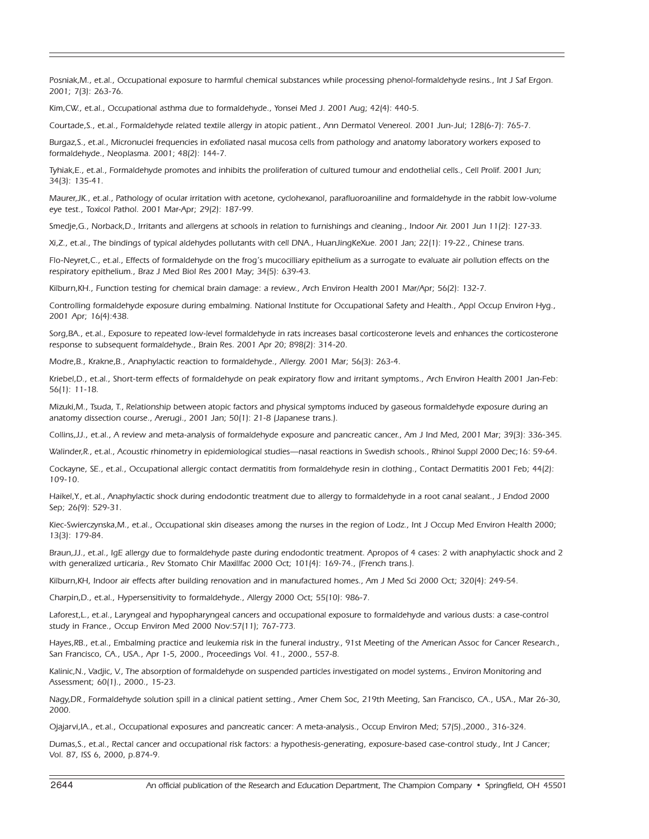Posniak,M., et.al., Occupational exposure to harmful chemical substances while processing phenol-formaldehyde resins., Int J Saf Ergon. 2001; 7(3): 263-76.

Kim,CW., et.al., Occupational asthma due to formaldehyde., Yonsei Med J. 2001 Aug; 42(4): 440-5.

Courtade,S., et.al., Formaldehyde related textile allergy in atopic patient., Ann Dermatol Venereol. 2001 Jun-Jul; 128(6-7): 765-7.

Burgaz,S., et.al., Micronuclei frequencies in exfoliated nasal mucosa cells from pathology and anatomy laboratory workers exposed to formaldehyde., Neoplasma. 2001; 48(2): 144-7.

Tyhiak,E., et.al., Formaldehyde promotes and inhibits the proliferation of cultured tumour and endothelial cells., Cell Prolif. 2001 Jun; 34(3): 135-41.

Maurer,JK., et.al., Pathology of ocular irritation with acetone, cyclohexanol, parafluoroaniline and formaldehyde in the rabbit low-volume eye test., Toxicol Pathol. 2001 Mar-Apr; 29(2): 187-99.

Smedje,G., Norback,D., Irritants and allergens at schools in relation to furnishings and cleaning., Indoor Air. 2001 Jun 11(2): 127-33.

Xi,Z., et.al., The bindings of typical aldehydes pollutants with cell DNA., HuanJingKeXue. 2001 Jan; 22(1): 19-22., Chinese trans.

Flo-Neyret,C., et.al., Effects of formaldehyde on the frog's mucocilliary epithelium as a surrogate to evaluate air pollution effects on the respiratory epithelium., Braz J Med BioI Res 2001 May; 34(5): 639-43.

Kilburn,KH., Function testing for chemical brain damage: a review., Arch Environ Health 2001 Mar/Apr; 56(2): 132-7.

Controlling formaldehyde exposure during embalming. National Institute for Occupational Safety and Health., Appl Occup Environ Hyg., 2001 Apr; 16(4):438.

Sorg,BA., et.al., Exposure to repeated low-level formaldehyde in rats increases basal corticosterone levels and enhances the corticosterone response to subsequent formaldehyde., Brain Res. 2001 Apr 20; 898(2): 314-20.

Modre,B., Krakne,B., Anaphylactic reaction to formaldehyde., Allergy. 2001 Mar; 56(3): 263-4.

Kriebel,D., et.al., Short-term effects of formaldehyde on peak expiratory flow and irritant symptoms., Arch Environ Health 2001 Jan-Feb: 56(1): 11-18.

Mizuki,M., Tsuda, T., Relationship between atopic factors and physical symptoms induced by gaseous formaldehyde exposure during an anatomy dissection course., Arerugi., 2001 Jan; 50(1): 21-8 (Japanese trans.).

Collins,JJ., et.al., A review and meta-analysis of formaldehyde exposure and pancreatic cancer., Am J Ind Med, 2001 Mar; 39(3): 336-345.

Walinder,R., et.al., Acoustic rhinometry in epidemiological studies—nasal reactions in Swedish schools., Rhinol Suppl 2000 Dec;16: 59-64.

Cockayne, SE., et.al., Occupational allergic contact dermatitis from formaldehyde resin in clothing., Contact Dermatitis 2001 Feb; 44(2): 109-10.

Haikel,Y., et.al., Anaphylactic shock during endodontic treatment due to allergy to formaldehyde in a root canal sealant., J Endod 2000 Sep; 26(9): 529-31.

Kiec-Swierczynska,M., et.al., Occupational skin diseases among the nurses in the region of Lodz., Int J Occup Med Environ Health 2000; 13(3): 179-84.

Braun,JJ., et.al., IgE allergy due to formaldehyde paste during endodontic treatment. Apropos of 4 cases: 2 with anaphylactic shock and 2 with generalized urticaria., Rev Stomato Chir Maxillfac 2000 Oct; 101(4): 169-74., (French trans.).

Kilburn,KH, Indoor air effects after building renovation and in manufactured homes., Am J Med Sci 2000 Oct; 320(4): 249-54.

Charpin,D., et.al., Hypersensitivity to formaldehyde., Allergy 2000 Oct; 55(10): 986-7.

Laforest,L., et.al., Laryngeal and hypopharyngeal cancers and occupational exposure to formaldehyde and various dusts: a case-control study in France., Occup Environ Med 2000 Nov:57(11); 767-773.

Hayes,RB., et.al., Embalming practice and leukemia risk in the funeral industry., 91st Meeting of the American Assoc for Cancer Research., San Francisco, CA., USA., Apr 1-5, 2000., Proceedings Vol. 41., 2000., 557-8.

Kalinic,N., Vadjic, V., The absorption of formaldehyde on suspended particles investigated on model systems., Environ Monitoring and Assessment; 60(1)., 2000., 15-23.

Nagy,DR., Formaldehyde solution spill in a clinical patient setting., Amer Chem Soc, 219th Meeting, San Francisco, CA., USA., Mar 26-30, 2000.

Ojajarvi,IA., et.al., Occupational exposures and pancreatic cancer: A meta-analysis., Occup Environ Med; 57(5).,2000., 316-324.

Dumas,S., et.al., Rectal cancer and occupational risk factors: a hypothesis-generating, exposure-based case-control study., Int J Cancer; Vol. 87, ISS 6, 2000, p.874-9.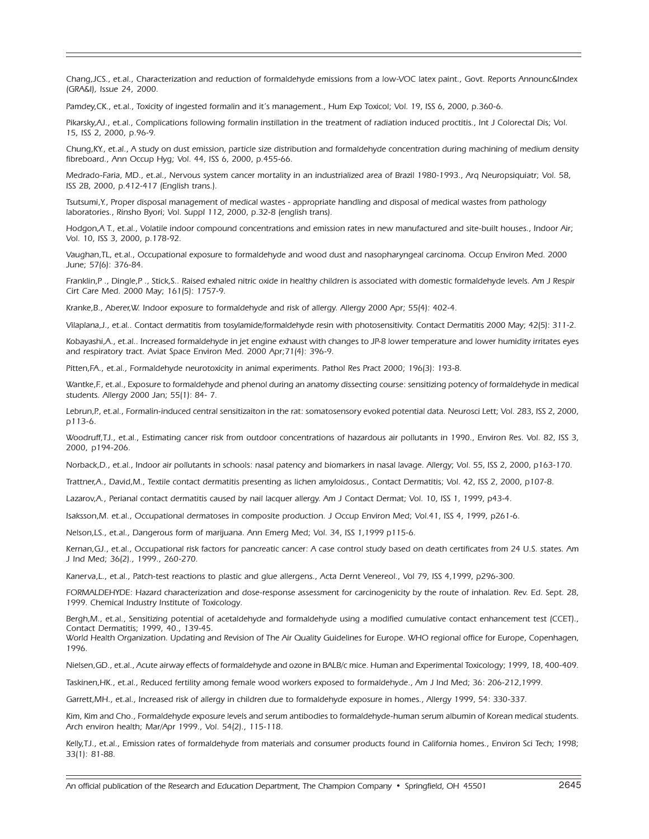Chang,JCS., et.al., Characterization and reduction of formaldehyde emissions from a low-VOC latex paint., Govt. Reports Announc&Index (GRA&I), Issue 24, 2000.

Pamdey,CK., et.al., Toxicity of ingested formalin and it's management., Hum Exp Toxicol; Vol. 19, ISS 6, 2000, p.360-6.

Pikarsky,AJ., et.al., Complications following formalin instillation in the treatment of radiation induced proctitis., Int J Colorectal Dis; Vol. 15, ISS 2, 2000, p.96-9.

Chung,KY., et.al., A study on dust emission, particle size distribution and formaldehyde concentration during machining of medium density fibreboard., Ann Occup Hyg; Vol. 44, ISS 6, 2000, p.455-66.

Medrado-Faria, MD., et.al., Nervous system cancer mortality in an industrialized area of Brazil 1980-1993., Arq Neuropsiquiatr; Vol. 58, ISS 2B, 2000, p.412-417 (English trans.).

Tsutsumi,Y., Proper disposal management of medical wastes - appropriate handling and disposal of medical wastes from pathology laboratories., Rinsho Byori; Vol. SuppI 112, 2000, p.32-8 (english trans).

Hodgon,A T., et.al., Volatile indoor compound concentrations and emission rates in new manufactured and site-built houses., Indoor Air; Vol. 10, ISS 3, 2000, p.178-92.

Vaughan,TL, et.al., Occupational exposure to formaldehyde and wood dust and nasopharyngeal carcinoma. Occup Environ Med. 2000 June; 57(6): 376-84.

Franklin,P ., Dingle,P ., Stick,S.. Raised exhaled nitric oxide in healthy children is associated with domestic formaldehyde levels. Am J Respir Cirt Care Med. 2000 May; 161(5): 1757-9.

Kranke,B., Aberer,W. Indoor exposure to formaldehyde and risk of allergy. Allergy 2000 Apr; 55(4): 402-4.

Vilaplana,J., et.al.. Contact dermatitis from tosylamide/formaldehyde resin with photosensitivity. Contact Dermatitis 2000 May; 42(5): 311-2.

Kobayashi,A., et.al.. Increased formaldehyde in jet engine exhaust with changes to JP-8 lower temperature and lower humidity irritates eyes and respiratory tract. Aviat Space Environ Med. 2000 Apr;71(4): 396-9.

Pitten,FA., et.al., Formaldehyde neurotoxicity in animal experiments. Pathol Res Pract 2000; 196(3): 193-8.

Wantke,F., et.al., Exposure to formaldehyde and phenol during an anatomy dissecting course: sensitizing potency of formaldehyde in medical students. Allergy 2000 Jan; 55(1): 84- 7.

Lebrun,P., et.al., Formalin-induced central sensitizaiton in the rat: somatosensory evoked potential data. Neurosci Lett; Vol. 283, ISS 2, 2000, p113-6.

Woodruff,TJ., et.al., Estimating cancer risk from outdoor concentrations of hazardous air pollutants in 1990., Environ Res. Vol. 82, ISS 3, 2000, p194-206.

Norback,D., et.al., Indoor air pollutants in schools: nasal patency and biomarkers in nasal lavage. Allergy; Vol. 55, ISS 2, 2000, p163-170.

Trattner,A., David,M., Textile contact dermatitis presenting as lichen amyloidosus., Contact Dermatitis; Vol. 42, ISS 2, 2000, p107-8.

Lazarov,A., Perianal contact dermatitis caused by nail lacquer allergy. Am J Contact Dermat; Vol. 10, ISS 1, 1999, p43-4.

Isaksson,M. et.al., Occupational dermatoses in composite production. J Occup Environ Med; Vol.41, ISS 4, 1999, p261-6.

Nelson,LS., et.al., Dangerous form of marijuana. Ann Emerg Med; Vol. 34, ISS 1,1999 p115-6.

Kernan,GJ., et.al., Occupational risk factors for pancreatic cancer: A case control study based on death certificates from 24 U.S. states. Am J Ind Med; 36(2)., 1999., 260-270.

Kanerva,L., et.al., Patch-test reactions to plastic and glue allergens., Acta Dernt Venereol., Vol 79, ISS 4,1999, p296-300.

FORMALDEHYDE: Hazard characterization and dose-response assessment for carcinogenicity by the route of inhalation. Rev. Ed. Sept. 28, 1999. Chemical Industry Institute of Toxicology.

Bergh,M., et.al., Sensitizing potential of acetaldehyde and formaldehyde using a modified cumulative contact enhancement test (CCET)., Contact Dermatitis; 1999, 40., 139-45.

World Health Organization. Updating and Revision of The Air Quality Guidelines for Europe. WHO regional office for Europe, Copenhagen, 1996.

Nielsen,GD., et.al., Acute airway effects of formaldehyde and ozone in BALB/c mice. Human and Experimental Toxicology; 1999, 18, 400-409.

Taskinen,HK., et.al., Reduced fertility among female wood workers exposed to formaldehyde., Am J Ind Med; 36: 206-212,1999.

Garrett,MH., et.al., Increased risk of allergy in children due to formaldehyde exposure in homes., Allergy 1999, 54: 330-337.

Kim, Kim and Cho., Formaldehyde exposure levels and serum antibodies to formaldehyde-human serum albumin of Korean medical students. Arch environ health; Mar/Apr 1999., Vol. 54(2)., 115-118.

Kelly,TJ., et.al., Emission rates of formaldehyde from materials and consumer products found in California homes., Environ Sci Tech; 1998; 33(1): 81-88.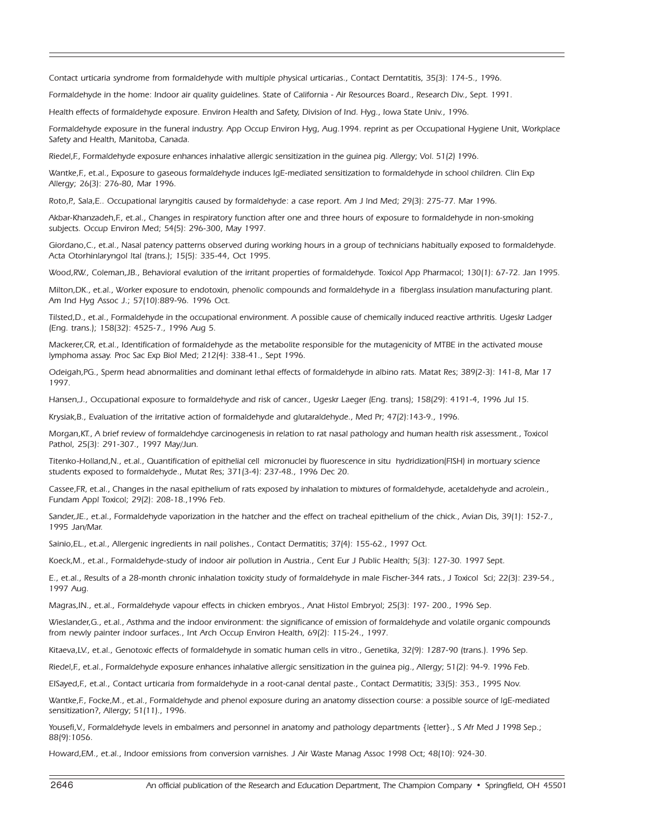Contact urticaria syndrome from formaldehyde with multiple physical urticarias., Contact Derntatitis, 35(3): 174-5., 1996.

Formaldehyde in the home: Indoor air quality quidelines. State of California - Air Resources Board., Research Div., Sept. 1991.

Health effects of formaldehyde exposure. Environ Health and Safety, Division of Ind. Hyg., Iowa State Univ., 1996.

Formaldehyde exposure in the funeral industry. App Occup Environ Hyg, Aug.1994. reprint as per Occupational Hygiene Unit, Workplace Safety and Health, Manitoba, Canada.

Riedel,F., Formaldehyde exposure enhances inhalative allergic sensitization in the guinea pig. Allergy; Vol. 51(2) 1996.

Wantke,F., et.al., Exposure to gaseous formaldehyde induces IgE-mediated sensitization to formaldehyde in school children. Clin Exp Allergy; 26(3): 276-80, Mar 1996.

Roto,P., Sala,E.. Occupational laryngitis caused by formaldehyde: a case report. Am J lnd Med; 29(3): 275-77. Mar 1996.

Akbar-Khanzadeh,F., et.al., Changes in respiratory function after one and three hours of exposure to formaldehyde in non-smoking subjects. Occup Environ Med; 54(5): 296-300, May 1997.

Giordano,C., et.al., Nasal patency patterns observed during working hours in a group of technicians habitually exposed to formaldehyde. Acta Otorhinlaryngol ltal (trans.); 15(5): 335-44, Oct 1995.

Wood,RW., Coleman,JB., Behavioral evalution of the irritant properties of formaldehyde. Toxicol App Pharmacol; 130(1): 67-72. Jan 1995.

Milton,DK., et.al., Worker exposure to endotoxin, phenolic compounds and formaldehyde in a fiberglass insulation manufacturing plant. Am Ind Hyg Assoc J.; 57(10):889-96. 1996 Oct.

Tilsted,D., et.al., Formaldehyde in the occupational environment. A possible cause of chemically induced reactive arthritis. Ugeskr Ladger (Eng. trans.); 158(32): 4525-7., 1996 Aug 5.

Mackerer,CR, et.al., Identification of formaldehyde as the metabolite responsible for the mutagenicity of MTBE in the activated mouse lymphoma assay. Proc Sac Exp BioI Med; 212(4): 338-41., Sept 1996.

Odeigah,PG., Sperm head abnormalities and dominant lethal effects of formaldehyde in albino rats. Matat Res; 389(2-3): 141-8, Mar 17 1997.

Hansen,J., Occupational exposure to formaldehyde and risk of cancer., Ugeskr Laeger (Eng. trans); 158(29): 4191-4, 1996 Jul 15.

Krysiak,B., Evaluation of the irritative action of formaldehyde and glutaraldehyde., Med Pr; 47(2):143-9., 1996.

Morgan,KT., A brief review of formaldehdye carcinogenesis in relation to rat nasal pathology and human health risk assessment., Toxicol Pathol, 25(3): 291-307., 1997 May/Jun.

Titenko-Holland,N., et.al., Quantification of epithelial cell micronuclei by fluorescence in situ hydridization(FISH) in mortuary science students exposed to formaldehyde., Mutat Res; 371(3-4): 237-48., 1996 Dec 20.

Cassee,FR, et.al., Changes in the nasal epithelium of rats exposed by inhalation to mixtures of formaldehyde, acetaldehyde and acrolein., Fundam Appl Toxicol; 29(2): 208-18.,1996 Feb.

Sander,JE., et.al., Formaldehyde vaporization in the hatcher and the effect on tracheal epithelium of the chick., Avian Dis, 39(1): 152-7., 1995 Jan/Mar.

Sainio,EL., et.al., Allergenic ingredients in nail polishes., Contact Dermatitis; 37(4): 155-62., 1997 Oct.

Koeck,M., et.al., Formaldehyde-study of indoor air pollution in Austria., Cent Eur J Public Health; 5(3): 127-30. 1997 Sept.

E., et.al., Results of a 28-month chronic inhalation toxicity study of formaldehyde in male Fischer-344 rats., J Toxicol Sci; 22(3): 239-54., 1997 Aug.

Magras,IN., et.al., Formaldehyde vapour effects in chicken embryos., Anat Histol Embryol; 25(3): 197- 200., 1996 Sep.

Wieslander,G., et.al., Asthma and the indoor environment: the significance of emission of formaldehyde and volatile organic compounds from newly painter indoor surfaces., Int Arch Occup Environ Health, 69(2): 115-24., 1997.

Kitaeva,LV., et.al., Genotoxic effects of formaldehyde in somatic human cells in vitro., Genetika, 32(9): 1287-90 (trans.). 1996 Sep.

Riedel,F., et.al., Formaldehyde exposure enhances inhalative allergic sensitization in the guinea pig., Allergy; 51(2): 94-9. 1996 Feb.

EISayed,F., et.al., Contact urticaria from formaldehyde in a root-canal dental paste., Contact Dermatitis; 33(5): 353., 1995 Nov.

Wantke,F., Focke,M., et.al., Formaldehyde and phenol exposure during an anatomy dissection course: a possible source of lgE-mediated sensitization?, Allergy; 51(11)., 1996.

Yousefi,V., Formaldehyde levels in embalmers and personnel in anatomy and pathology departments {letter}., S Afr Med J 1998 Sep.; 88(9):1056.

Howard,EM., et.al., Indoor emissions from conversion varnishes. J Air Waste Manag Assoc 1998 Oct; 48(10): 924-30.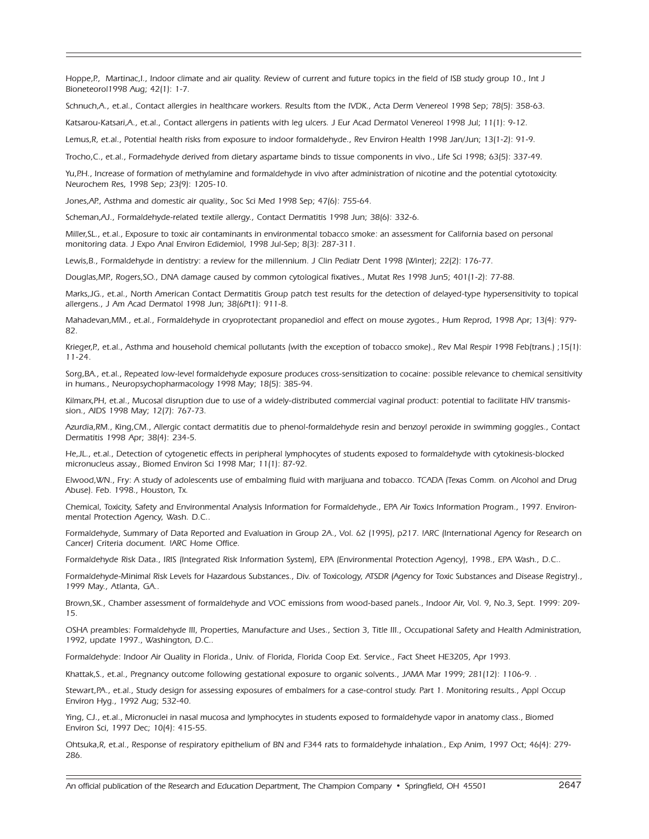Hoppe,P., Martinac,I., Indoor climate and air quality. Review of current and future topics in the field of ISB study group 10., Int J Bioneteorol1998 Aug; 42(1): 1-7.

Schnuch,A., et.al., Contact allergies in healthcare workers. Results ftom the IVDK., Acta Derm Venereol 1998 Sep; 78(5): 358-63.

Katsarou-Katsari,A., et.al., Contact allergens in patients with leg ulcers. J Eur Acad Dermatol Venereol 1998 Jul; 11(1): 9-12.

Lemus,R, et.al., Potential health risks from exposure to indoor formaldehyde., Rev Environ Health 1998 Jan/Jun; 13(1-2): 91-9.

Trocho,C., et.al., Formadehyde derived from dietary aspartame binds to tissue components in vivo., Life Sci 1998; 63(5): 337-49.

Yu,P.H., Increase of formation of methylamine and formaldehyde in vivo after administration of nicotine and the potential cytotoxicity. Neurochem Res, 1998 Sep; 23(9): 1205-10.

Jones,AP., Asthma and domestic air quality., Soc Sci Med 1998 Sep; 47(6): 755-64.

Scheman,AJ., Formaldehyde-related textile allergy., Contact Dermatitis 1998 Jun; 38(6): 332-6.

Miller,SL., et.al., Exposure to toxic air contaminants in environmental tobacco smoke: an assessment for California based on personal monitoring data. J Expo Anal Environ Edidemiol, 1998 Jul-Sep; 8(3): 287-311.

Lewis,B., Formaldehyde in dentistry: a review for the millennium. J Clin Pediatr Dent 1998 (Winter); 22(2): 176-77.

Douglas,MP., Rogers,SO., DNA damage caused by common cytological fixatives., Mutat Res 1998 Jun5; 401(1-2): 77-88.

Marks,JG., et.al., North American Contact Dermatitis Group patch test results for the detection of delayed-type hypersensitivity to topical allergens., J Am Acad Dermatol 1998 Jun; 38(6Pt1): 911-8.

Mahadevan,MM., et.al., Formaldehyde in cryoprotectant propanediol and effect on mouse zygotes., Hum Reprod, 1998 Apr; 13(4): 979- 82.

Krieger,P., et.al., Asthma and household chemical pollutants (with the exception of tobacco smoke)., Rev Mal Respir 1998 Feb(trans.) ;15(1): 11-24.

Sorg,BA., et.al., Repeated low-level formaldehyde exposure produces cross-sensitization to cocaine: possible relevance to chemical sensitivity in humans., Neuropsychopharmacology 1998 May; 18(5): 385-94.

Kilmarx,PH, et.al., Mucosal disruption due to use of a widely-distributed commercial vaginal product: potential to facilitate HIV transmission., AIDS 1998 May; 12(7): 767-73.

Azurdia,RM., King,CM., Allergic contact dermatitis due to phenol-formaldehyde resin and benzoyl peroxide in swimming goggles., Contact Dermatitis 1998 Apr; 38(4): 234-5.

He,JL., et.al., Detection of cytogenetic effects in peripheral lymphocytes of students exposed to formaldehyde with cytokinesis-blocked micronucleus assay., Biomed Environ Sci 1998 Mar; 11(1): 87-92.

Elwood,WN., Fry: A study of adolescents use of embalming fluid with marijuana and tobacco. TCADA (Texas Comm. on Alcohol and Drug Abuse). Feb. 1998., Houston, Tx.

Chemical, Toxicity, Safety and Environmental Analysis Information for Formaldehyde., EPA Air Toxics Information Program., 1997. Environmental Protection Agency, Wash. D.C..

Formaldehyde, Summary of Data Reported and Evaluation in Group 2A., Vol. 62 (1995), p217. !ARC (International Agency for Research on Cancer) Criteria document. !ARC Home Office.

Formaldehyde Risk Data., IRIS (Integrated Risk Information System), EPA (Environmental Protection Agency), 1998., EPA Wash., D.C..

Formaldehyde-Minimal Risk Levels for Hazardous Substances., Div. of Toxicology, ATSDR (Agency for Toxic Substances and Disease Registry)., 1999 May., Atlanta, GA..

Brown,SK., Chamber assessment of formaldehyde and VOC emissions from wood-based panels., Indoor Air, Vol. 9, No.3, Sept. 1999: 209- 15.

OSHA preambles: Formaldehyde III, Properties, Manufacture and Uses., Section 3, Title III., Occupational Safety and Health Administration, 1992, update 1997., Washington, D.C..

Formaldehyde: Indoor Air Quality in Florida., Univ. of Florida, Florida Coop Ext. Service., Fact Sheet HE3205, Apr 1993.

Khattak,S., et.al., Pregnancy outcome following gestational exposure to organic solvents., JAMA Mar 1999; 281(12): 1106-9. .

Stewart,PA., et.al., Study design for assessing exposures of embalmers for a case-control study. Part 1. Monitoring results., Appl Occup Environ Hyg., 1992 Aug; 532-40.

Ying, CJ., et.al., Micronuclei in nasal mucosa and lymphocytes in students exposed to formaldehyde vapor in anatomy class., Biomed Environ Sci, 1997 Dec; 10(4): 415-55.

Ohtsuka,R, et.al., Response of respiratory epithelium of BN and F344 rats to formaldehyde inhalation., Exp Anim, 1997 Oct; 46(4): 279- 286.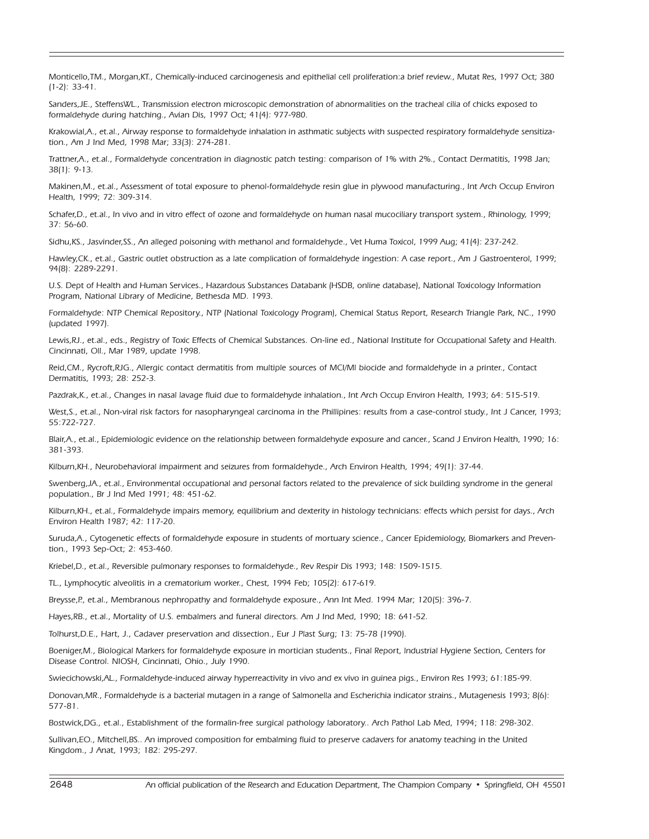Monticello,TM., Morgan,KT., Chemically-induced carcinogenesis and epithelial cell proliferation:a brief review., Mutat Res, 1997 Oct; 380 (1-2): 33-41.

Sanders,JE., SteffensWL., Transmission electron microscopic demonstration of abnormalities on the tracheal cilia of chicks exposed to formaldehyde during hatching., Avian Dis, 1997 Oct; 41(4): 977-980.

Krakowial,A., et.al., Airway response to formaldehyde inhalation in asthmatic subjects with suspected respiratory formaldehyde sensitization., Am J Ind Med, 1998 Mar; 33(3): 274-281.

Trattner,A., et.al., Formaldehyde concentration in diagnostic patch testing: comparison of 1% with 2%., Contact Dermatitis, 1998 Jan; 38(1): 9-13.

Makinen,M., et.al., Assessment of total exposure to phenol-formaldehyde resin glue in plywood manufacturing., Int Arch Occup Environ Health, 1999; 72: 309-314.

Schafer,D., et.al., In vivo and in vitro effect of ozone and formaldehyde on human nasal mucociliary transport system., Rhinology, 1999; 37: 56-60.

Sidhu,KS., Jasvinder,SS., An alleged poisoning with methanol and formaldehyde., Vet Huma Toxicol, 1999 Aug; 41(4): 237-242.

Hawley,CK., et.al., Gastric outlet obstruction as a late complication of formaldehyde ingestion: A case report., Am J Gastroenterol, 1999; 94(8): 2289-2291.

U.S. Dept of Health and Human Services., Hazardous Substances Databank (HSDB, online database), National Toxicology Information Program, National Library of Medicine, Bethesda MD. 1993.

Formaldehyde: NTP Chemical Repository., NTP (National Toxicology Program), Chemical Status Report, Research Triangle Park, NC., 1990 (updated 1997).

Lewis,RJ., et.al., eds., Registry of Toxic Effects of Chemical Substances. On-line ed., National Institute for Occupational Safety and Health. Cincinnati, Oll., Mar 1989, update 1998.

Reid,CM., Rycroft,RJG., Allergic contact dermatitis from multiple sources of MCI/Ml biocide and formaldehyde in a printer., Contact Dermatitis, 1993; 28: 252-3.

Pazdrak,K., et.al., Changes in nasal lavage fluid due to formaldehyde inhalation., Int Arch Occup Environ Health, 1993; 64: 515-519.

West,S., et.al., Non-viral risk factors for nasopharyngeal carcinoma in the Phillipines: results from a case-control study., Int J Cancer, 1993; 55:722-727.

Blair,A., et.al., Epidemiologic evidence on the relationship between formaldehyde exposure and cancer., Scand J Environ Health, 1990; 16: 381-393.

Kilburn,KH., Neurobehavioral impairment and seizures from formaldehyde., Arch Environ Health, 1994; 49(1): 37-44.

Swenberg,JA., et.al., Environmental occupational and personal factors related to the prevalence of sick building syndrome in the general population., Br J Ind Med 1991; 48: 451-62.

Kilburn,KH., et.al., Formaldehyde impairs memory, equilibrium and dexterity in histology technicians: effects which persist for days., Arch Environ Health 1987; 42: 117-20.

Suruda,A., Cytogenetic effects of formaldehyde exposure in students of mortuary science., Cancer Epidemiology, Biomarkers and Prevention., 1993 Sep-Oct; 2: 453-460.

Kriebel,D., et.al., Reversible pulmonary responses to formaldehyde., Rev Respir Dis 1993; 148: 1509-1515.

TL., Lymphocytic alveolitis in a crematorium worker., Chest, 1994 Feb; 105(2): 617-619.

Breysse,P., et.al., Membranous nephropathy and formaldehyde exposure., Ann Int Med. 1994 Mar; 120(5): 396-7.

Hayes,RB., et.al., Mortality of U.S. embalmers and funeral directors. Am J Ind Med, 1990; 18: 641-52.

Tolhurst,D.E., Hart, J., Cadaver preservation and dissection., Eur J Plast Surg; 13: 75-78 (1990).

Boeniger,M., Biological Markers for formaldehyde exposure in mortician students., Final Report, lndustrial Hygiene Section, Centers for Disease Control. NIOSH, Cincinnati, Ohio., July 1990.

Swiecichowski,AL., Formaldehyde-induced airway hyperreactivity in vivo and ex vivo in guinea pigs., Environ Res 1993; 61:185-99.

Donovan,MR., Formaldehyde is a bacterial mutagen in a range of Salmonella and Escherichia indicator strains., Mutagenesis 1993; 8(6): 577-81.

Bostwick,DG., et.al., Establishment of the formalin-free surgical pathology laboratory.. Arch Pathol Lab Med, 1994; 118: 298-302.

Sullivan,EO., Mitchell,BS.. An improved composition for embalming fluid to preserve cadavers for anatomy teaching in the United Kingdom., J Anat, 1993; 182: 295-297.